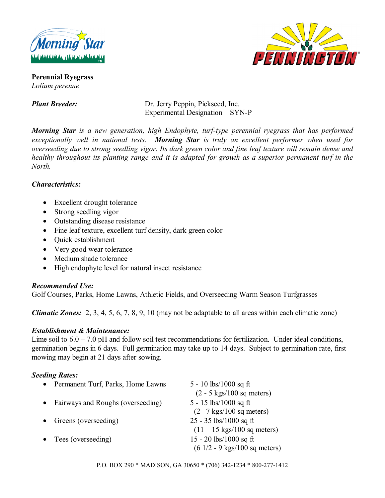



**Perennial Ryegrass**  *Lolium perenne* 

*Plant Breeder:* Dr. Jerry Peppin, Pickseed, Inc. Experimental Designation – SYN-P

*Morning Star is a new generation, high Endophyte, turf-type perennial ryegrass that has performed exceptionally well in national tests. Morning Star is truly an excellent performer when used for overseeding due to strong seedling vigor. Its dark green color and fine leaf texture will remain dense and healthy throughout its planting range and it is adapted for growth as a superior permanent turf in the North.* 

## *Characteristics:*

- Excellent drought tolerance
- Strong seedling vigor
- Outstanding disease resistance
- Fine leaf texture, excellent turf density, dark green color
- Quick establishment
- Very good wear tolerance
- Medium shade tolerance
- High endophyte level for natural insect resistance

## *Recommended Use:*

Golf Courses, Parks, Home Lawns, Athletic Fields, and Overseeding Warm Season Turfgrasses

*Climatic Zones:* 2, 3, 4, 5, 6, 7, 8, 9, 10 (may not be adaptable to all areas within each climatic zone)

## *Establishment & Maintenance:*

Lime soil to  $6.0 - 7.0$  pH and follow soil test recommendations for fertilization. Under ideal conditions, germination begins in 6 days. Full germination may take up to 14 days. Subject to germination rate, first mowing may begin at 21 days after sowing.

# *Seeding Rates:*

| $\bullet$ | Permanent Turf, Parks, Home Lawns | 5 - 10 lbs/1000 sq ft                                                      |
|-----------|-----------------------------------|----------------------------------------------------------------------------|
|           | Fairways and Roughs (overseeding) | $(2 - 5$ kgs/100 sq meters)<br>5 - 15 lbs/1000 sq ft                       |
|           | Greens (overseeding)              | $(2 - 7$ kgs/100 sq meters)<br>$25 - 35$ lbs/1000 sq ft                    |
|           |                                   | $(11 - 15 \text{ kgs}/100 \text{ sq meters})$                              |
|           | $\bullet$ Tees (overseeding)      | 15 - 20 lbs/1000 sq ft<br>$(6\ 1/2 - 9\ \text{kgs}/100\ \text{sq meters})$ |